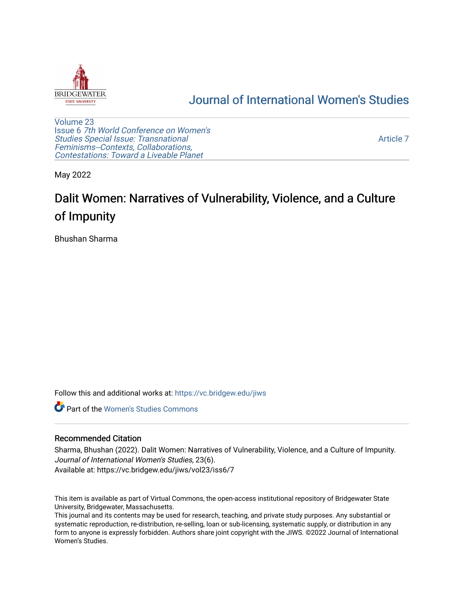

## [Journal of International Women's Studies](https://vc.bridgew.edu/jiws)

[Volume 23](https://vc.bridgew.edu/jiws/vol23) Issue 6 [7th World Conference on Women's](https://vc.bridgew.edu/jiws/vol23/iss6)  [Studies Special Issue: Transnational](https://vc.bridgew.edu/jiws/vol23/iss6)  [Feminisms--Contexts, Collaborations,](https://vc.bridgew.edu/jiws/vol23/iss6)  [Contestations: Toward a Liveable Planet](https://vc.bridgew.edu/jiws/vol23/iss6) 

[Article 7](https://vc.bridgew.edu/jiws/vol23/iss6/7) 

May 2022

# Dalit Women: Narratives of Vulnerability, Violence, and a Culture of Impunity

Bhushan Sharma

Follow this and additional works at: [https://vc.bridgew.edu/jiws](https://vc.bridgew.edu/jiws?utm_source=vc.bridgew.edu%2Fjiws%2Fvol23%2Fiss6%2F7&utm_medium=PDF&utm_campaign=PDFCoverPages)

**C** Part of the Women's Studies Commons

#### Recommended Citation

Sharma, Bhushan (2022). Dalit Women: Narratives of Vulnerability, Violence, and a Culture of Impunity. Journal of International Women's Studies, 23(6). Available at: https://vc.bridgew.edu/jiws/vol23/iss6/7

This item is available as part of Virtual Commons, the open-access institutional repository of Bridgewater State University, Bridgewater, Massachusetts.

This journal and its contents may be used for research, teaching, and private study purposes. Any substantial or systematic reproduction, re-distribution, re-selling, loan or sub-licensing, systematic supply, or distribution in any form to anyone is expressly forbidden. Authors share joint copyright with the JIWS. ©2022 Journal of International Women's Studies.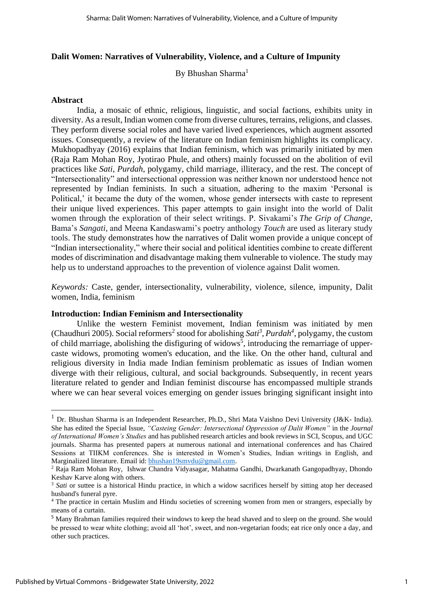## **Dalit Women: Narratives of Vulnerability, Violence, and a Culture of Impunity**

By Bhushan Sharma<sup>1</sup>

### **Abstract**

India, a mosaic of ethnic, religious, linguistic, and social factions, exhibits unity in diversity. As a result, Indian women come from diverse cultures, terrains, religions, and classes. They perform diverse social roles and have varied lived experiences, which augment assorted issues. Consequently, a review of the literature on Indian feminism highlights its complicacy. Mukhopadhyay (2016) explains that Indian feminism, which was primarily initiated by men (Raja Ram Mohan Roy, Jyotirao Phule, and others) mainly focussed on the abolition of evil practices like *Sati*, *Purdah*, polygamy, child marriage, illiteracy, and the rest. The concept of "Intersectionality" and intersectional oppression was neither known nor understood hence not represented by Indian feminists. In such a situation, adhering to the maxim 'Personal is Political,' it became the duty of the women, whose gender intersects with caste to represent their unique lived experiences. This paper attempts to gain insight into the world of Dalit women through the exploration of their select writings. P. Sivakami's *The Grip of Change*, Bama's *Sangati,* and Meena Kandaswami's poetry anthology *Touch* are used as literary study tools. The study demonstrates how the narratives of Dalit women provide a unique concept of "Indian intersectionality," where their social and political identities combine to create different modes of discrimination and disadvantage making them vulnerable to violence. The study may help us to understand approaches to the prevention of violence against Dalit women.

*Keywords:* Caste, gender, intersectionality, vulnerability, violence, silence, impunity, Dalit women, India, feminism

#### **Introduction: Indian Feminism and Intersectionality**

Unlike the western Feminist movement, Indian feminism was initiated by men (Chaudhuri 2005). Social reformers<sup>2</sup> stood for abolishing *Sati<sup>3</sup>*, *Purdah<sup>4</sup>*, polygamy, the custom of child marriage, abolishing the disfiguring of widows<sup>5</sup>, introducing the remarriage of uppercaste widows, promoting women's education, and the like. On the other hand, cultural and religious diversity in India made Indian feminism problematic as issues of Indian women diverge with their religious, cultural, and social backgrounds. Subsequently, in recent years literature related to gender and Indian feminist discourse has encompassed multiple strands where we can hear several voices emerging on gender issues bringing significant insight into

<sup>&</sup>lt;sup>1</sup> Dr. Bhushan Sharma is an Independent Researcher, Ph.D., Shri Mata Vaishno Devi University (J&K- India). She has edited the Special Issue, *"Casteing Gender: Intersectional Oppression of Dalit Women"* in the *Journal of International Women's Studies* and has published research articles and book reviews in SCI, Scopus, and UGC journals. Sharma has presented papers at numerous national and international conferences and has Chaired Sessions at TIIKM conferences. She is interested in Women's Studies, Indian writings in English, and Marginalized literature. Email id: [bhushan19smvdu@gmail.com.](mailto:bhushan19smvdu@gmail.com)

<sup>2</sup> Raja Ram Mohan Roy, Ishwar Chandra Vidyasagar, Mahatma Gandhi, Dwarkanath Gangopadhyay, Dhondo Keshav Karve along with others.

<sup>&</sup>lt;sup>3</sup> *Sati* or suttee is a historical Hindu practice, in which a widow sacrifices herself by sitting atop her deceased husband's funeral pyre.

<sup>4</sup> The practice in certain Muslim and Hindu societies of screening women from men or strangers, especially by means of a curtain.

<sup>5</sup> Many Brahman families required their windows to keep the head shaved and to sleep on the ground. She would be pressed to wear white clothing; avoid all 'hot', sweet, and non-vegetarian foods; eat rice only once a day, and other such practices.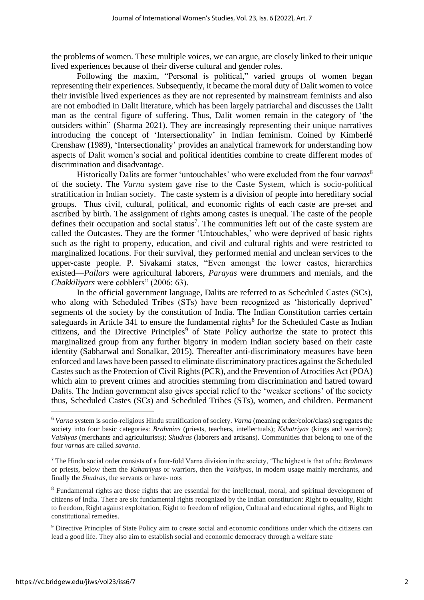the problems of women. These multiple voices, we can argue, are closely linked to their unique lived experiences because of their diverse cultural and gender roles.

Following the maxim, "Personal is political," varied groups of women began representing their experiences. Subsequently, it became the moral duty of Dalit women to voice their invisible lived experiences as they are not represented by mainstream feminists and also are not embodied in Dalit literature, which has been largely patriarchal and discusses the Dalit man as the central figure of suffering. Thus, Dalit women remain in the category of 'the outsiders within" (Sharma 2021). They are increasingly representing their unique narratives introducing the concept of 'Intersectionality' in Indian feminism. Coined by Kimberlé Crenshaw (1989), 'Intersectionality' provides an analytical framework for understanding how aspects of Dalit women's social and political identities combine to create different modes of discrimination and disadvantage.

Historically Dalits are former 'untouchables' who were excluded from the four *varnas*<sup>6</sup> of the society. The *Varna* system gave rise to the Caste System, which is socio-political stratification in Indian society. The caste system is a division of people into hereditary social groups. Thus civil, cultural, political, and economic rights of each caste are pre-set and ascribed by birth. The assignment of rights among castes is unequal. The caste of the people defines their occupation and social status<sup>7</sup>. The communities left out of the caste system are called the Outcastes. They are the former 'Untouchables,' who were deprived of basic rights such as the right to property, education, and civil and cultural rights and were restricted to marginalized locations. For their survival, they performed menial and unclean services to the upper-caste people. P. Sivakami states, "Even amongst the lower castes, hierarchies existed⸻*Pallars* were agricultural laborers, *Parayas* were drummers and menials, and the *Chakkiliyars* were cobblers" (2006: 63).

In the official government language, Dalits are referred to as Scheduled Castes (SCs), who along with Scheduled Tribes (STs) have been recognized as 'historically deprived' segments of the society by the constitution of India. The Indian Constitution carries certain safeguards in Article 341 to ensure the fundamental rights<sup>8</sup> for the Scheduled Caste as Indian citizens, and the Directive Principles<sup>9</sup> of State Policy authorize the state to protect this marginalized group from any further bigotry in modern Indian society based on their caste identity (Sabharwal and Sonalkar, 2015). Thereafter anti-discriminatory measures have been enforced and laws have been passed to eliminate discriminatory practices against the Scheduled Castes such as the Protection of Civil Rights (PCR), and the Prevention of Atrocities Act (POA) which aim to prevent crimes and atrocities stemming from discrimination and hatred toward Dalits. The Indian government also gives special relief to the 'weaker sections' of the society thus, Scheduled Castes (SCs) and Scheduled Tribes (STs), women, and children. Permanent

<sup>6</sup> *Varna* system is socio-religious Hindu stratification of society. *Varna* (meaning order/color/class) segregates the society into four basic categories: *Brahmins* (priests, teachers, intellectuals); *Kshatriyas* (kings and warriors); *Vaishyas* (merchants and agriculturists); *Shudras* (laborers and artisans). Communities that belong to one of the four *varnas* are called *savarna*.

<sup>7</sup> The Hindu social order consists of a four-fold Varna division in the society, 'The highest is that of the *Brahmans*  or priests, below them the *Kshatriyas* or warriors, then the *Vaishyas*, in modern usage mainly merchants, and finally the *Shudras*, the servants or have- nots

<sup>&</sup>lt;sup>8</sup> Fundamental rights are those rights that are essential for the intellectual, moral, and spiritual development of citizens of India. There are six fundamental rights recognized by the Indian constitution: Right to equality, Right to freedom, Right against exploitation, Right to freedom of religion, Cultural and educational rights, and Right to constitutional remedies.

<sup>9</sup> Directive Principles of State Policy aim to create social and economic conditions under which the citizens can lead a good life. They also aim to establish social and economic democracy through a welfare state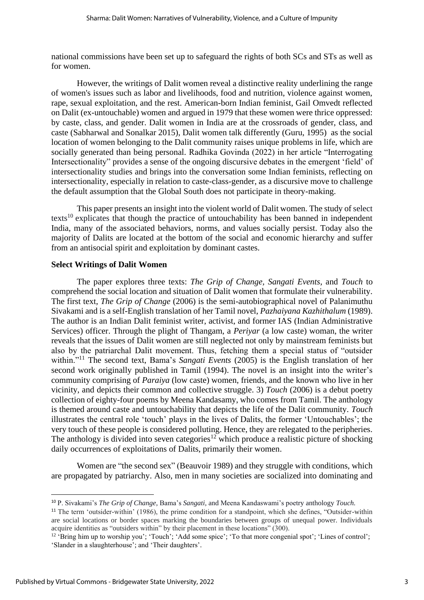national commissions have been set up to safeguard the rights of both SCs and STs as well as for women.

However, the writings of Dalit women reveal a distinctive reality underlining the range of women's issues such as labor and livelihoods, food and nutrition, violence against women, rape, sexual exploitation, and the rest. American-born Indian feminist, Gail Omvedt reflected on Dalit (ex-untouchable) women and argued in 1979 that these women were thrice oppressed: by caste, class, and gender. Dalit women in India are at the crossroads of gender, class, and caste (Sabharwal and Sonalkar 2015), Dalit women talk differently (Guru, 1995) as the social location of women belonging to the Dalit community raises unique problems in life, which are socially generated than being personal. Radhika Govinda (2022) in her article "Interrogating Intersectionality" provides a sense of the ongoing discursive debates in the emergent 'field' of intersectionality studies and brings into the conversation some Indian feminists, reflecting on intersectionality, especially in relation to caste-class-gender, as a discursive move to challenge the default assumption that the Global South does not participate in theory-making.

This paper presents an insight into the violent world of Dalit women. The study of select texts<sup>10</sup> explicates that though the practice of untouchability has been banned in independent India, many of the associated behaviors, norms, and values socially persist. Today also the majority of Dalits are located at the bottom of the social and economic hierarchy and suffer from an antisocial spirit and exploitation by dominant castes.

### **Select Writings of Dalit Women**

The paper explores three texts: *The Grip of Change, Sangati Events*, and *Touch* to comprehend the social location and situation of Dalit women that formulate their vulnerability. The first text, *The Grip of Change* (2006) is the semi-autobiographical novel of Palanimuthu Sivakami and is a self-English translation of her Tamil novel, *Pazhaiyana Kazhithalum* (1989). The author is an Indian Dalit feminist writer, activist, and former IAS (Indian Administrative Services) officer. Through the plight of Thangam, a *Periyar* (a low caste) woman, the writer reveals that the issues of Dalit women are still neglected not only by mainstream feminists but also by the patriarchal Dalit movement. Thus, fetching them a special status of "outsider within."<sup>11</sup> The second text, Bama's *Sangati Events* (2005) is the English translation of her second work originally published in Tamil (1994). The novel is an insight into the writer's community comprising of *Paraiya* (low caste) women, friends, and the known who live in her vicinity, and depicts their common and collective struggle. 3) *Touch* (2006) is a debut poetry collection of eighty-four poems by Meena Kandasamy, who comes from Tamil. The anthology is themed around caste and untouchability that depicts the life of the Dalit community. *Touch* illustrates the central role 'touch' plays in the lives of Dalits, the former 'Untouchables'; the very touch of these people is considered polluting. Hence, they are relegated to the peripheries. The anthology is divided into seven categories<sup>12</sup> which produce a realistic picture of shocking daily occurrences of exploitations of Dalits, primarily their women.

Women are "the second sex" (Beauvoir 1989) and they struggle with conditions, which are propagated by patriarchy. Also, men in many societies are socialized into dominating and

<sup>10</sup> P. Sivakami's *The Grip of Change*, Bama's *Sangati,* and Meena Kandaswami's poetry anthology *Touch.*

<sup>&</sup>lt;sup>11</sup> The term 'outsider-within' (1986), the prime condition for a standpoint, which she defines, "Outsider-within" are social locations or border spaces marking the boundaries between groups of unequal power. Individuals acquire identities as "outsiders within" by their placement in these locations" (300).

<sup>&</sup>lt;sup>12</sup> 'Bring him up to worship you'; 'Touch'; 'Add some spice'; 'To that more congenial spot'; 'Lines of control'; 'Slander in a slaughterhouse'; and 'Their daughters'.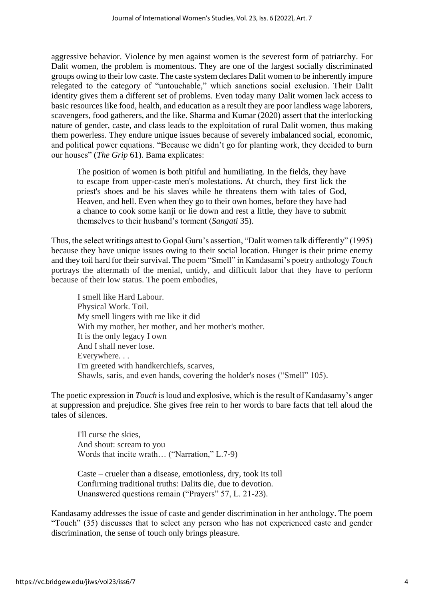aggressive behavior. Violence by men against women is the severest form of patriarchy. For Dalit women, the problem is momentous. They are one of the largest socially discriminated groups owing to their low caste. The caste system declares Dalit women to be inherently impure relegated to the category of "untouchable," which sanctions social exclusion. Their Dalit identity gives them a different set of problems. Even today many Dalit women lack access to basic resources like food, health, and education as a result they are poor landless wage laborers, scavengers, food gatherers, and the like. Sharma and Kumar (2020) assert that the interlocking nature of gender, caste, and class leads to the exploitation of rural Dalit women, thus making them powerless. They endure unique issues because of severely imbalanced social, economic, and political power equations. "Because we didn't go for planting work, they decided to burn our houses" (*The Grip* 61). Bama explicates:

The position of women is both pitiful and humiliating. In the fields, they have to escape from upper-caste men's molestations. At church, they first lick the priest's shoes and be his slaves while he threatens them with tales of God, Heaven, and hell. Even when they go to their own homes, before they have had a chance to cook some kanji or lie down and rest a little, they have to submit themselves to their husband's torment (*Sangati* 35).

Thus, the select writings attest to Gopal Guru's assertion, "Dalit women talk differently" (1995) because they have unique issues owing to their social location. Hunger is their prime enemy and they toil hard for their survival. The poem "Smell" in Kandasami's poetry anthology *Touch*  portrays the aftermath of the menial, untidy, and difficult labor that they have to perform because of their low status. The poem embodies,

I smell like Hard Labour. Physical Work. Toil. My smell lingers with me like it did With my mother, her mother, and her mother's mother. It is the only legacy I own And I shall never lose. Everywhere. . . I'm greeted with handkerchiefs, scarves, Shawls, saris, and even hands, covering the holder's noses ("Smell" 105).

The poetic expression in *Touch* is loud and explosive, which is the result of Kandasamy's anger at suppression and prejudice. She gives free rein to her words to bare facts that tell aloud the tales of silences.

I'll curse the skies, And shout: scream to you Words that incite wrath… ("Narration," L.7-9)

Caste – crueler than a disease, emotionless, dry, took its toll Confirming traditional truths: Dalits die, due to devotion. Unanswered questions remain ("Prayers" 57, L. 21-23).

Kandasamy addresses the issue of caste and gender discrimination in her anthology. The poem "Touch" (35) discusses that to select any person who has not experienced caste and gender discrimination, the sense of touch only brings pleasure.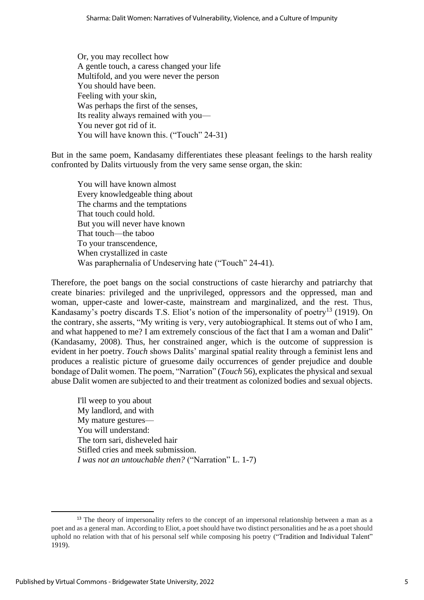Or, you may recollect how A gentle touch, a caress changed your life Multifold, and you were never the person You should have been. Feeling with your skin, Was perhaps the first of the senses, Its reality always remained with you— You never got rid of it. You will have known this. ("Touch" 24-31)

But in the same poem, Kandasamy differentiates these pleasant feelings to the harsh reality confronted by Dalits virtuously from the very same sense organ, the skin:

You will have known almost Every knowledgeable thing about The charms and the temptations That touch could hold. But you will never have known That touch—the taboo To your transcendence, When crystallized in caste Was paraphernalia of Undeserving hate ("Touch" 24-41).

Therefore, the poet bangs on the social constructions of caste hierarchy and patriarchy that create binaries: privileged and the unprivileged, oppressors and the oppressed, man and woman, upper-caste and lower-caste, mainstream and marginalized, and the rest. Thus, Kandasamy's poetry discards T.S. Eliot's notion of the impersonality of poetry<sup>13</sup> (1919). On the contrary, she asserts, "My writing is very, very autobiographical. It stems out of who I am, and what happened to me? I am extremely conscious of the fact that I am a woman and Dalit" (Kandasamy, 2008). Thus, her constrained anger, which is the outcome of suppression is evident in her poetry. *Touch* shows Dalits' marginal spatial reality through a feminist lens and produces a realistic picture of gruesome daily occurrences of gender prejudice and double bondage of Dalit women. The poem, "Narration" (*Touch* 56), explicates the physical and sexual abuse Dalit women are subjected to and their treatment as colonized bodies and sexual objects.

I'll weep to you about My landlord, and with My mature gestures— You will understand: The torn sari, disheveled hair Stifled cries and meek submission. *I was not an untouchable then?* ("Narration" L. 1-7)

<sup>&</sup>lt;sup>13</sup> The theory of impersonality refers to the concept of an impersonal relationship between a man as a poet and as a general man. According to Eliot, a poet should have two distinct personalities and he as a poet should uphold no relation with that of his personal self while composing his poetry ("Tradition and Individual Talent" 1919).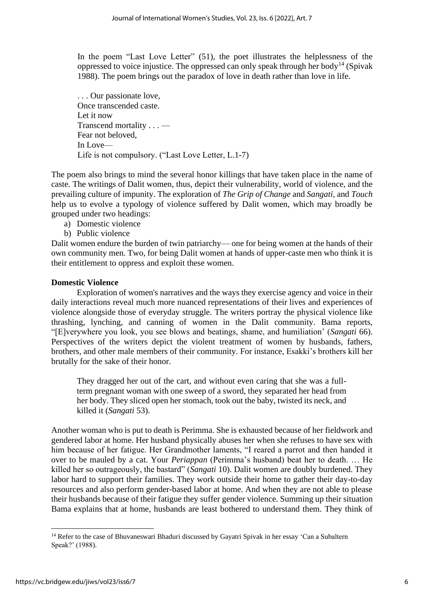In the poem "Last Love Letter" (51), the poet illustrates the helplessness of the oppressed to voice injustice. The oppressed can only speak through her body<sup>14</sup> (Spivak 1988). The poem brings out the paradox of love in death rather than love in life.

. . . Our passionate love, Once transcended caste. Let it now Transcend mortality . . . — Fear not beloved, In Love— Life is not compulsory. ("Last Love Letter, L.1-7)

The poem also brings to mind the several honor killings that have taken place in the name of caste. The writings of Dalit women, thus, depict their vulnerability, world of violence, and the prevailing culture of impunity. The exploration of *The Grip of Change* and *Sangati,* and *Touch*  help us to evolve a typology of violence suffered by Dalit women, which may broadly be grouped under two headings:

- a) Domestic violence
- b) Public violence

Dalit women endure the burden of twin patriarchy— one for being women at the hands of their own community men. Two, for being Dalit women at hands of upper-caste men who think it is their entitlement to oppress and exploit these women.

## **Domestic Violence**

Exploration of women's narratives and the ways they exercise agency and voice in their daily interactions reveal much more nuanced representations of their lives and experiences of violence alongside those of everyday struggle. The writers portray the physical violence like thrashing, lynching, and canning of women in the Dalit community. Bama reports, "[E]verywhere you look, you see blows and beatings, shame, and humiliation' (*Sangati* 66). Perspectives of the writers depict the violent treatment of women by husbands, fathers, brothers, and other male members of their community. For instance, Esakki's brothers kill her brutally for the sake of their honor.

They dragged her out of the cart, and without even caring that she was a fullterm pregnant woman with one sweep of a sword, they separated her head from her body. They sliced open her stomach, took out the baby, twisted its neck, and killed it (*Sangati* 53).

Another woman who is put to death is Perimma. She is exhausted because of her fieldwork and gendered labor at home. Her husband physically abuses her when she refuses to have sex with him because of her fatigue. Her Grandmother laments, "I reared a parrot and then handed it over to be mauled by a cat. Your *Periappan* (Perimma's husband) beat her to death. … He killed her so outrageously, the bastard" (*Sangati* 10). Dalit women are doubly burdened. They labor hard to support their families. They work outside their home to gather their day-to-day resources and also perform gender-based labor at home. And when they are not able to please their husbands because of their fatigue they suffer gender violence. Summing up their situation Bama explains that at home, husbands are least bothered to understand them. They think of

<sup>&</sup>lt;sup>14</sup> Refer to the case of Bhuvaneswari Bhaduri discussed by Gayatri Spivak in her essay 'Can a Subaltern Speak?' (1988).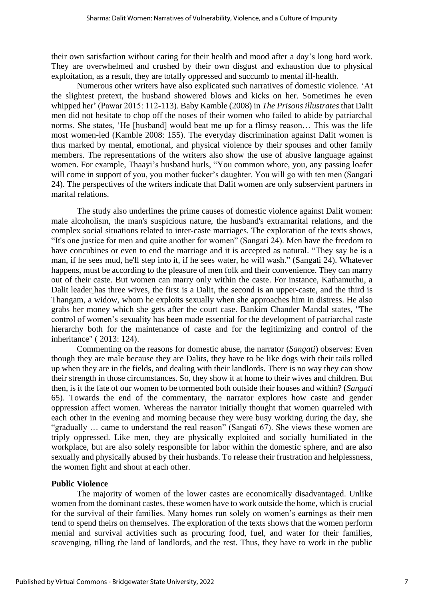their own satisfaction without caring for their health and mood after a day's long hard work. They are overwhelmed and crushed by their own disgust and exhaustion due to physical exploitation, as a result, they are totally oppressed and succumb to mental ill-health.

Numerous other writers have also explicated such narratives of domestic violence. 'At the slightest pretext, the husband showered blows and kicks on her. Sometimes he even whipped her' (Pawar 2015: 112-113). Baby Kamble (2008) in *The Prisons illustrates* that Dalit men did not hesitate to chop off the noses of their women who failed to abide by patriarchal norms. She states, 'He [husband] would beat me up for a flimsy reason… This was the life most women-led (Kamble 2008: 155). The everyday discrimination against Dalit women is thus marked by mental, emotional, and physical violence by their spouses and other family members. The representations of the writers also show the use of abusive language against women. For example, Thaayi's husband hurls, "You common whore, you, any passing loafer will come in support of you, you mother fucker's daughter. You will go with ten men (Sangati 24). The perspectives of the writers indicate that Dalit women are only subservient partners in marital relations.

The study also underlines the prime causes of domestic violence against Dalit women: male alcoholism, the man's suspicious nature, the husband's extramarital relations, and the complex social situations related to inter-caste marriages. The exploration of the texts shows, "It's one justice for men and quite another for women" (Sangati 24). Men have the freedom to have concubines or even to end the marriage and it is accepted as natural. "They say he is a man, if he sees mud, he'll step into it, if he sees water, he will wash." (Sangati 24). Whatever happens, must be according to the pleasure of men folk and their convenience. They can marry out of their caste. But women can marry only within the caste. For instance, Kathamuthu, a Dalit leader has three wives, the first is a Dalit, the second is an upper-caste, and the third is Thangam, a widow, whom he exploits sexually when she approaches him in distress. He also grabs her money which she gets after the court case. Bankim Chander Mandal states, "The control of women's sexuality has been made essential for the development of patriarchal caste hierarchy both for the maintenance of caste and for the legitimizing and control of the inheritance" ( 2013: 124).

Commenting on the reasons for domestic abuse, the narrator (*Sangati*) observes: Even though they are male because they are Dalits, they have to be like dogs with their tails rolled up when they are in the fields, and dealing with their landlords. There is no way they can show their strength in those circumstances. So, they show it at home to their wives and children. But then, is it the fate of our women to be tormented both outside their houses and within? (*Sangati* 65). Towards the end of the commentary, the narrator explores how caste and gender oppression affect women. Whereas the narrator initially thought that women quarreled with each other in the evening and morning because they were busy working during the day, she "gradually … came to understand the real reason" (Sangati 67). She views these women are triply oppressed. Like men, they are physically exploited and socially humiliated in the workplace, but are also solely responsible for labor within the domestic sphere, and are also sexually and physically abused by their husbands. To release their frustration and helplessness, the women fight and shout at each other.

#### **Public Violence**

The majority of women of the lower castes are economically disadvantaged. Unlike women from the dominant castes, these women have to work outside the home, which is crucial for the survival of their families. Many homes run solely on women's earnings as their men tend to spend theirs on themselves. The exploration of the texts shows that the women perform menial and survival activities such as procuring food, fuel, and water for their families, scavenging, tilling the land of landlords, and the rest. Thus, they have to work in the public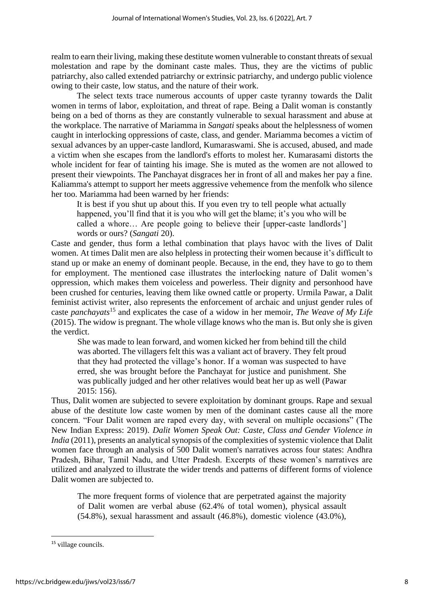realm to earn their living, making these destitute women vulnerable to constant threats of sexual molestation and rape by the dominant caste males. Thus, they are the victims of public patriarchy, also called extended patriarchy or extrinsic patriarchy, and undergo public violence owing to their caste, low status, and the nature of their work.

The select texts trace numerous accounts of upper caste tyranny towards the Dalit women in terms of labor, exploitation, and threat of rape. Being a Dalit woman is constantly being on a bed of thorns as they are constantly vulnerable to sexual harassment and abuse at the workplace. The narrative of Mariamma in *Sangati* speaks about the helplessness of women caught in interlocking oppressions of caste, class, and gender. Mariamma becomes a victim of sexual advances by an upper-caste landlord, Kumaraswami. She is accused, abused, and made a victim when she escapes from the landlord's efforts to molest her. Kumarasami distorts the whole incident for fear of tainting his image. She is muted as the women are not allowed to present their viewpoints. The Panchayat disgraces her in front of all and makes her pay a fine. Kaliamma's attempt to support her meets aggressive vehemence from the menfolk who silence her too. Mariamma had been warned by her friends:

It is best if you shut up about this. If you even try to tell people what actually happened, you'll find that it is you who will get the blame; it's you who will be called a whore… Are people going to believe their [upper-caste landlords'] words or ours? (*Sangati* 20).

Caste and gender, thus form a lethal combination that plays havoc with the lives of Dalit women. At times Dalit men are also helpless in protecting their women because it's difficult to stand up or make an enemy of dominant people. Because, in the end, they have to go to them for employment. The mentioned case illustrates the interlocking nature of Dalit women's oppression, which makes them voiceless and powerless. Their dignity and personhood have been crushed for centuries, leaving them like owned cattle or property. Urmila Pawar, a Dalit feminist activist writer, also represents the enforcement of archaic and unjust gender rules of caste *panchayats*<sup>15</sup> and explicates the case of a widow in her memoir, *The Weave of My Life* (2015). The widow is pregnant. The whole village knows who the man is. But only she is given the verdict.

She was made to lean forward, and women kicked her from behind till the child was aborted. The villagers felt this was a valiant act of bravery. They felt proud that they had protected the village's honor. If a woman was suspected to have erred, she was brought before the Panchayat for justice and punishment. She was publically judged and her other relatives would beat her up as well (Pawar 2015: 156).

Thus, Dalit women are subjected to severe exploitation by dominant groups. Rape and sexual abuse of the destitute low caste women by men of the dominant castes cause all the more concern. "Four Dalit women are raped every day, with several on multiple occasions" (The New Indian Express: 2019). *Dalit Women Speak Out: Caste, Class and Gender Violence in India* (2011), presents an analytical synopsis of the complexities of systemic violence that Dalit women face through an analysis of 500 Dalit women's narratives across four states: Andhra Pradesh, Bihar, Tamil Nadu, and Utter Pradesh. Excerpts of these women's narratives are utilized and analyzed to illustrate the wider trends and patterns of different forms of violence Dalit women are subjected to.

The more frequent forms of violence that are perpetrated against the majority of Dalit women are verbal abuse (62.4% of total women), physical assault (54.8%), sexual harassment and assault (46.8%), domestic violence (43.0%),

<sup>&</sup>lt;sup>15</sup> village councils.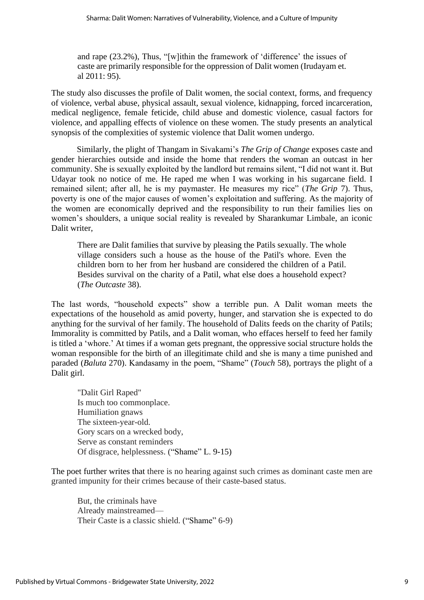and rape (23.2%), Thus, "[w]ithin the framework of 'difference' the issues of caste are primarily responsible for the oppression of Dalit women (Irudayam et. al 2011: 95).

The study also discusses the profile of Dalit women, the social context, forms, and frequency of violence, verbal abuse, physical assault, sexual violence, kidnapping, forced incarceration, medical negligence, female feticide, child abuse and domestic violence, casual factors for violence, and appalling effects of violence on these women. The study presents an analytical synopsis of the complexities of systemic violence that Dalit women undergo.

Similarly, the plight of Thangam in Sivakami's *The Grip of Change* exposes caste and gender hierarchies outside and inside the home that renders the woman an outcast in her community. She is sexually exploited by the landlord but remains silent, "I did not want it. But Udayar took no notice of me. He raped me when I was working in his sugarcane field. I remained silent; after all, he is my paymaster. He measures my rice" (*The Grip* 7). Thus, poverty is one of the major causes of women's exploitation and suffering. As the majority of the women are economically deprived and the responsibility to run their families lies on women's shoulders, a unique social reality is revealed by Sharankumar Limbale, an iconic Dalit writer,

There are Dalit families that survive by pleasing the Patils sexually. The whole village considers such a house as the house of the Patil's whore. Even the children born to her from her husband are considered the children of a Patil. Besides survival on the charity of a Patil, what else does a household expect? (*The Outcaste* 38).

The last words, "household expects" show a terrible pun. A Dalit woman meets the expectations of the household as amid poverty, hunger, and starvation she is expected to do anything for the survival of her family. The household of Dalits feeds on the charity of Patils; Immorality is committed by Patils, and a Dalit woman, who effaces herself to feed her family is titled a 'whore.' At times if a woman gets pregnant, the oppressive social structure holds the woman responsible for the birth of an illegitimate child and she is many a time punished and paraded (*Baluta* 270). Kandasamy in the poem, "Shame" (*Touch* 58), portrays the plight of a Dalit girl.

"Dalit Girl Raped" Is much too commonplace. Humiliation gnaws The sixteen-year-old. Gory scars on a wrecked body, Serve as constant reminders Of disgrace, helplessness. ("Shame" L. 9-15)

The poet further writes that there is no hearing against such crimes as dominant caste men are granted impunity for their crimes because of their caste-based status.

But, the criminals have Already mainstreamed— Their Caste is a classic shield. ("Shame" 6-9)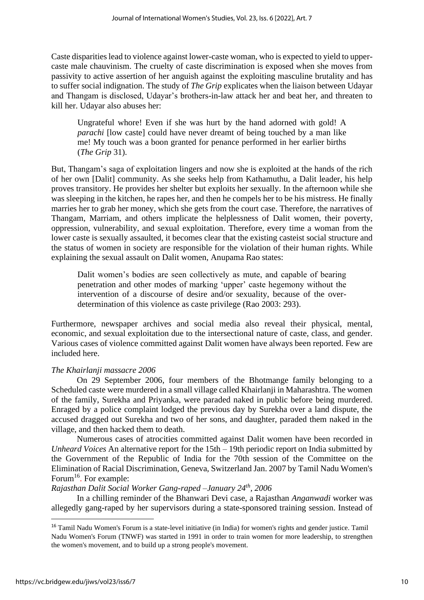Caste disparities lead to violence against lower-caste woman, who is expected to yield to uppercaste male chauvinism. The cruelty of caste discrimination is exposed when she moves from passivity to active assertion of her anguish against the exploiting masculine brutality and has to suffer social indignation. The study of *The Grip* explicates when the liaison between Udayar and Thangam is disclosed, Udayar's brothers-in-law attack her and beat her, and threaten to kill her. Udayar also abuses her:

Ungrateful whore! Even if she was hurt by the hand adorned with gold! A *parachi* [low caste] could have never dreamt of being touched by a man like me! My touch was a boon granted for penance performed in her earlier births (*The Grip* 31).

But, Thangam's saga of exploitation lingers and now she is exploited at the hands of the rich of her own [Dalit] community. As she seeks help from Kathamuthu, a Dalit leader, his help proves transitory. He provides her shelter but exploits her sexually. In the afternoon while she was sleeping in the kitchen, he rapes her, and then he compels her to be his mistress. He finally marries her to grab her money, which she gets from the court case. Therefore, the narratives of Thangam, Marriam, and others implicate the helplessness of Dalit women, their poverty, oppression, vulnerability, and sexual exploitation. Therefore, every time a woman from the lower caste is sexually assaulted, it becomes clear that the existing casteist social structure and the status of women in society are responsible for the violation of their human rights. While explaining the sexual assault on Dalit women, Anupama Rao states:

Dalit women's bodies are seen collectively as mute, and capable of bearing penetration and other modes of marking 'upper' caste hegemony without the intervention of a discourse of desire and/or sexuality, because of the overdetermination of this violence as caste privilege (Rao 2003: 293).

Furthermore, newspaper archives and social media also reveal their physical, mental, economic, and sexual exploitation due to the intersectional nature of caste, class, and gender. Various cases of violence committed against Dalit women have always been reported. Few are included here.

## *The Khairlanji massacre 2006*

On 29 September 2006, four members of the Bhotmange family belonging to a Scheduled caste were murdered in a small village called Khairlanji in Maharashtra. The women of the family, Surekha and Priyanka, were paraded naked in public before being murdered. Enraged by a police complaint lodged the previous day by Surekha over a land dispute, the accused dragged out Surekha and two of her sons, and daughter, paraded them naked in the village, and then hacked them to death.

Numerous cases of atrocities committed against Dalit women have been recorded in *Unheard Voices* An alternative report for the 15th – 19th periodic report on India submitted by the Government of the Republic of India for the 70th session of the Committee on the Elimination of Racial Discrimination, Geneva, Switzerland Jan. 2007 by Tamil Nadu Women's Forum<sup>16</sup>. For example:

## *Rajasthan Dalit Social Worker Gang-raped –January 24th, 2006*

In a chilling reminder of the Bhanwari Devi case, a Rajasthan *Anganwadi* worker was allegedly gang-raped by her supervisors during a state-sponsored training session. Instead of

<sup>&</sup>lt;sup>16</sup> Tamil Nadu Women's Forum is a state-level initiative (in India) for women's rights and gender justice. Tamil Nadu Women's Forum (TNWF) was started in 1991 in order to train women for more leadership, to strengthen the women's movement, and to build up a strong people's movement.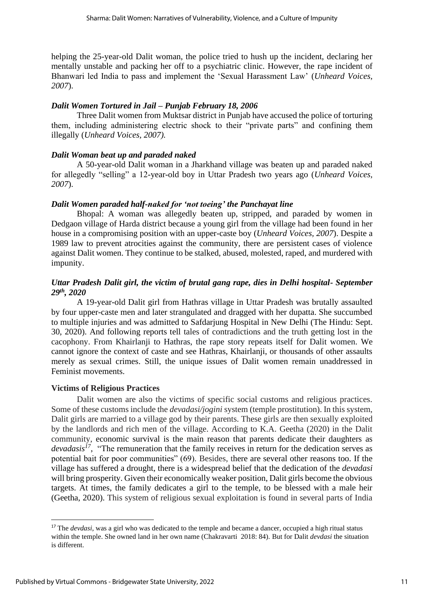helping the 25-year-old Dalit woman, the police tried to hush up the incident, declaring her mentally unstable and packing her off to a psychiatric clinic. However, the rape incident of Bhanwari led India to pass and implement the 'Sexual Harassment Law' (*Unheard Voices, 2007*).

## *Dalit Women Tortured in Jail – Punjab February 18, 2006*

Three Dalit women from Muktsar district in Punjab have accused the police of torturing them, including administering electric shock to their "private parts" and confining them illegally (*Unheard Voices, 2007).*

## *Dalit Woman beat up and paraded naked*

A 50-year-old Dalit woman in a Jharkhand village was beaten up and paraded naked for allegedly "selling" a 12-year-old boy in Uttar Pradesh two years ago (*Unheard Voices, 2007*).

## *Dalit Women paraded half-naked for 'not toeing' the Panchayat line*

Bhopal: A woman was allegedly beaten up, stripped, and paraded by women in Dedgaon village of Harda district because a young girl from the village had been found in her house in a compromising position with an upper-caste boy (*Unheard Voices, 2007*). Despite a 1989 law to prevent atrocities against the community, there are persistent cases of violence against Dalit women. They continue to be stalked, abused, molested, raped, and murdered with impunity.

## *Uttar Pradesh Dalit girl, the victim of brutal gang rape, dies in Delhi hospital- September 29th, 2020*

A 19-year-old Dalit girl from Hathras village in Uttar Pradesh was brutally assaulted by four upper-caste men and later strangulated and dragged with her dupatta. She succumbed to multiple injuries and was admitted to Safdarjung Hospital in New Delhi (The Hindu: Sept. 30, 2020). And following reports tell tales of contradictions and the truth getting lost in the cacophony. [From Khairlanji to Hathras, the rape story repeats itself for Dalit women.](https://www.newsclick.in/Khairlanji-Hathras-Rape-Story-Repeats-Dalit-Women) We cannot ignore the context of caste and see Hathras, Khairlanji, or thousands of other assaults merely as sexual crimes. Still, the unique issues of Dalit women remain unaddressed in Feminist movements.

## **Victims of Religious Practices**

Dalit women are also the victims of specific social customs and religious practices. Some of these customs include the *devadasi/jogini* system (temple prostitution). In this system, Dalit girls are married to a village god by their parents. These girls are then sexually exploited by the landlords and rich men of the village. According to K.A. Geetha (2020) in the Dalit community, economic survival is the main reason that parents dedicate their daughters as *devadasis<sup>17</sup>* , "The remuneration that the family receives in return for the dedication serves as potential bait for poor communities" (69). Besides, there are several other reasons too. If the village has suffered a drought, there is a widespread belief that the dedication of the *devadasi* will bring prosperity. Given their economically weaker position, Dalit girls become the obvious targets. At times, the family dedicates a girl to the temple, to be blessed with a male heir (Geetha, 2020). This system of religious sexual exploitation is found in several parts of India

<sup>&</sup>lt;sup>17</sup> The *devdasi*, was a girl who was dedicated to the temple and became a dancer, occupied a high ritual status within the temple. She owned land in her own name (Chakravarti 2018: 84). But for Dalit *devdasi* the situation is different.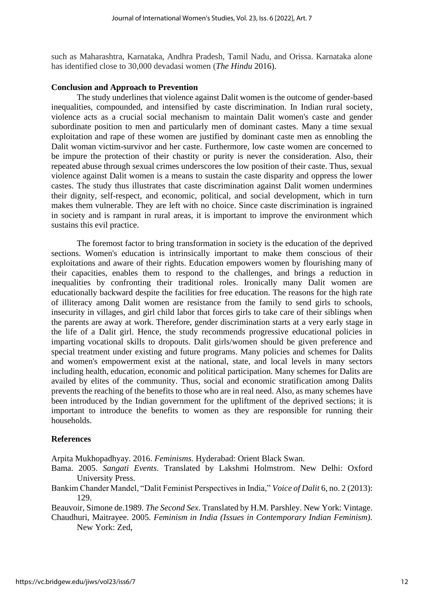such as Maharashtra, Karnataka, Andhra Pradesh, Tamil Nadu, and Orissa. Karnataka alone has identified close to 30,000 devadasi women (*The Hindu* 2016).

#### **Conclusion and Approach to Prevention**

The study underlines that violence against Dalit women is the outcome of gender-based inequalities, compounded, and intensified by caste discrimination. In Indian rural society, violence acts as a crucial social mechanism to maintain Dalit women's caste and gender subordinate position to men and particularly men of dominant castes. Many a time sexual exploitation and rape of these women are justified by dominant caste men as ennobling the Dalit woman victim-survivor and her caste. Furthermore, low caste women are concerned to be impure the protection of their chastity or purity is never the consideration. Also, their repeated abuse through sexual crimes underscores the low position of their caste. Thus, sexual violence against Dalit women is a means to sustain the caste disparity and oppress the lower castes. The study thus illustrates that caste discrimination against Dalit women undermines their dignity, self-respect, and economic, political, and social development, which in turn makes them vulnerable. They are left with no choice. Since caste discrimination is ingrained in society and is rampant in rural areas, it is important to improve the environment which sustains this evil practice.

The foremost factor to bring transformation in society is the education of the deprived sections. Women's education is intrinsically important to make them conscious of their exploitations and aware of their rights. Education empowers women by flourishing many of their capacities, enables them to respond to the challenges, and brings a reduction in inequalities by confronting their traditional roles. Ironically many Dalit women are educationally backward despite the facilities for free education. The reasons for the high rate of illiteracy among Dalit women are resistance from the family to send girls to schools, insecurity in villages, and girl child labor that forces girls to take care of their siblings when the parents are away at work. Therefore, gender discrimination starts at a very early stage in the life of a Dalit girl. Hence, the study recommends progressive educational policies in imparting vocational skills to dropouts. Dalit girls/women should be given preference and special treatment under existing and future programs. Many policies and schemes for Dalits and women's empowerment exist at the national, state, and local levels in many sectors including health, education, economic and political participation. Many schemes for Dalits are availed by elites of the community. Thus, social and economic stratification among Dalits prevents the reaching of the benefits to those who are in real need. Also, as many schemes have been introduced by the Indian government for the upliftment of the deprived sections; it is important to introduce the benefits to women as they are responsible for running their households.

#### **References**

Arpita Mukhopadhyay. 2016. *Feminisms.* Hyderabad: Orient Black Swan.

- Bama. 2005. *Sangati Events*. Translated by Lakshmi Holmstrom. New Delhi: Oxford University Press.
- Bankim Chander Mandel, "Dalit Feminist Perspectives in India," *Voice of Dalit* 6, no. 2 (2013): 129.

Beauvoir, Simone de.1989. *The Second Sex*. Translated by H.M. Parshley. New York: Vintage.

Chaudhuri, Maitrayee. 2005. *Feminism in India (Issues in Contemporary Indian Feminism).* New York: Zed,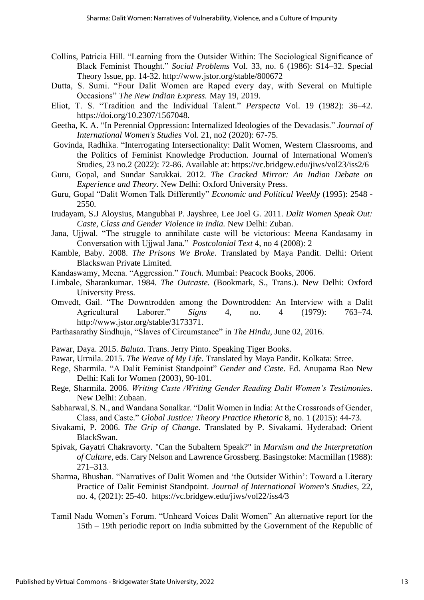- Collins, Patricia Hill. "Learning from the Outsider Within: The Sociological Significance of Black Feminist Thought." *Social Problems* Vol. 33, no. 6 (1986): S14–32. Special Theory Issue, pp. 14-32.<http://www.jstor.org/stable/800672>
- Dutta, S. Sumi. "Four Dalit Women are Raped every day, with Several on Multiple Occasions" *The New Indian Express.* May 19, 2019.
- Eliot, T. S. "Tradition and the Individual Talent." *Perspecta* Vol. 19 (1982): 36–42. https://doi.org/10.2307/1567048.
- Geetha, K. A. "In Perennial Oppression: Internalized Ideologies of the Devadasis." *Journal of International Women's Studies* Vol. 21, no2 (2020): 67-75.
- Govinda, Radhika. "Interrogating Intersectionality: Dalit Women, Western Classrooms, and the Politics of Feminist Knowledge Production. Journal of International Women's Studies, 23 no.2 (2022): 72-86. Available at: https://vc.bridgew.edu/jiws/vol23/iss2/6
- Guru, Gopal, and Sundar Sarukkai. 2012. *The Cracked Mirror: An Indian Debate on Experience and Theory*. New Delhi: Oxford University Press.
- Guru, Gopal "Dalit Women Talk Differently" *Economic and Political Weekly* (1995): 2548 2550.
- Irudayam, S.J Aloysius, Mangubhai P. Jayshree, Lee Joel G. 2011. *Dalit Women Speak Out: Caste, Class and Gender Violence in India.* New Delhi: Zuban.
- Jana, Ujjwal. "The struggle to annihilate caste will be victorious: Meena Kandasamy in Conversation with Ujjwal Jana." *Postcolonial Text* 4, no 4 (2008): 2
- Kamble, Baby. 2008. *The Prisons We Broke*. Translated by Maya Pandit. Delhi: Orient Blackswan Private Limited.
- Kandaswamy, Meena. "Aggression." *Touch.* Mumbai: Peacock Books, 2006.
- Limbale, Sharankumar. 1984. *The Outcaste.* (Bookmark, S., Trans.). New Delhi: Oxford University Press.
- Omvedt, Gail. "The Downtrodden among the Downtrodden: An Interview with a Dalit Agricultural Laborer." *Signs* 4, no. 4 (1979): 763–74. http://www.jstor.org/stable/3173371.
- Parthasarathy Sindhuja, "Slaves of Circumstance" in *The Hindu*, June 02, 2016.
- Pawar, Daya. 2015. *Baluta*. Trans. Jerry Pinto. Speaking Tiger Books.
- Pawar, Urmila. 2015. *The Weave of My Life.* Translated by Maya Pandit. Kolkata: Stree.
- Rege, Sharmila. "A Dalit Feminist Standpoint" *Gender and Caste.* Ed. Anupama Rao New Delhi: Kali for Women (2003), 90-101.
- Rege, Sharmila. 2006. *Writing Caste /Writing Gender Reading Dalit Women's Testimonies*. New Delhi: Zubaan.
- Sabharwal, S. N., and Wandana Sonalkar. "Dalit Women in India: At the Crossroads of Gender, Class, and Caste." *Global Justice: Theory Practice Rhetoric* 8, no. 1 (2015): 44-73.
- Sivakami, P. 2006. *The Grip of Change*. Translated by P. Sivakami. Hyderabad: Orient BlackSwan.
- Spivak, Gayatri Chakravorty*.* "Can the Subaltern Speak?" in *Marxism and the Interpretation of Culture*, eds. Cary Nelson and Lawrence Grossberg. Basingstoke: Macmillan (1988): 271–313.
- Sharma, Bhushan. "Narratives of Dalit Women and 'the Outsider Within': Toward a Literary Practice of Dalit Feminist Standpoint. *Journal of International Women's Studies*, 22, no. 4, (2021): 25-40. <https://vc.bridgew.edu/jiws/vol22/iss4/3>
- Tamil Nadu Women's Forum. "Unheard Voices Dalit Women" An alternative report for the 15th – 19th periodic report on India submitted by the Government of the Republic of